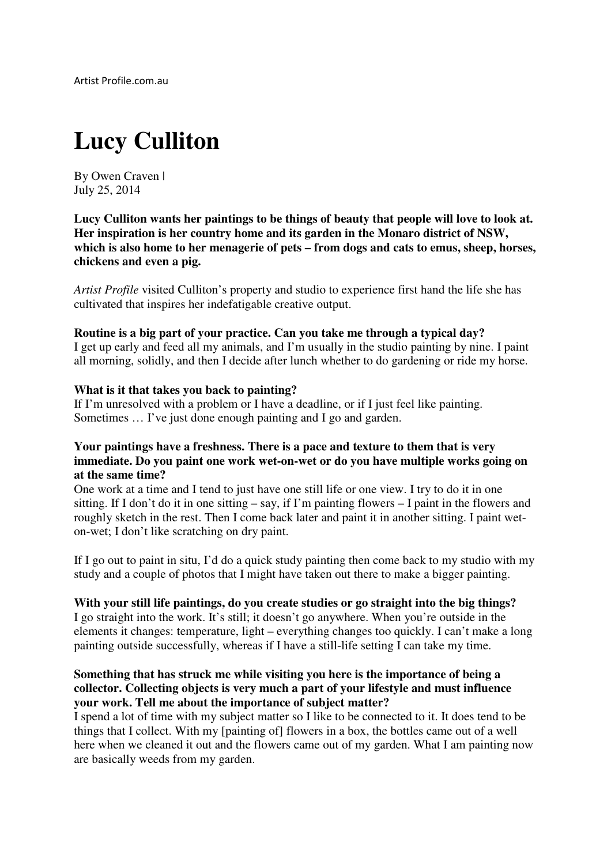# **Lucy Culliton**

By Owen Craven | July 25, 2014

**Lucy Culliton wants her paintings to be things of beauty that people will love to look at. Her inspiration is her country home and its garden in the Monaro district of NSW, which is also home to her menagerie of pets – from dogs and cats to emus, sheep, horses, chickens and even a pig.**

*Artist Profile* visited Culliton's property and studio to experience first hand the life she has cultivated that inspires her indefatigable creative output.

#### **Routine is a big part of your practice. Can you take me through a typical day?**

I get up early and feed all my animals, and I'm usually in the studio painting by nine. I paint all morning, solidly, and then I decide after lunch whether to do gardening or ride my horse.

#### **What is it that takes you back to painting?**

If I'm unresolved with a problem or I have a deadline, or if I just feel like painting. Sometimes … I've just done enough painting and I go and garden.

#### **Your paintings have a freshness. There is a pace and texture to them that is very immediate. Do you paint one work wet-on-wet or do you have multiple works going on at the same time?**

One work at a time and I tend to just have one still life or one view. I try to do it in one sitting. If I don't do it in one sitting – say, if I'm painting flowers – I paint in the flowers and roughly sketch in the rest. Then I come back later and paint it in another sitting. I paint weton-wet; I don't like scratching on dry paint.

If I go out to paint in situ, I'd do a quick study painting then come back to my studio with my study and a couple of photos that I might have taken out there to make a bigger painting.

#### **With your still life paintings, do you create studies or go straight into the big things?**

I go straight into the work. It's still; it doesn't go anywhere. When you're outside in the elements it changes: temperature, light – everything changes too quickly. I can't make a long painting outside successfully, whereas if I have a still-life setting I can take my time.

#### **Something that has struck me while visiting you here is the importance of being a collector. Collecting objects is very much a part of your lifestyle and must influence your work. Tell me about the importance of subject matter?**

I spend a lot of time with my subject matter so I like to be connected to it. It does tend to be things that I collect. With my [painting of] flowers in a box, the bottles came out of a well here when we cleaned it out and the flowers came out of my garden. What I am painting now are basically weeds from my garden.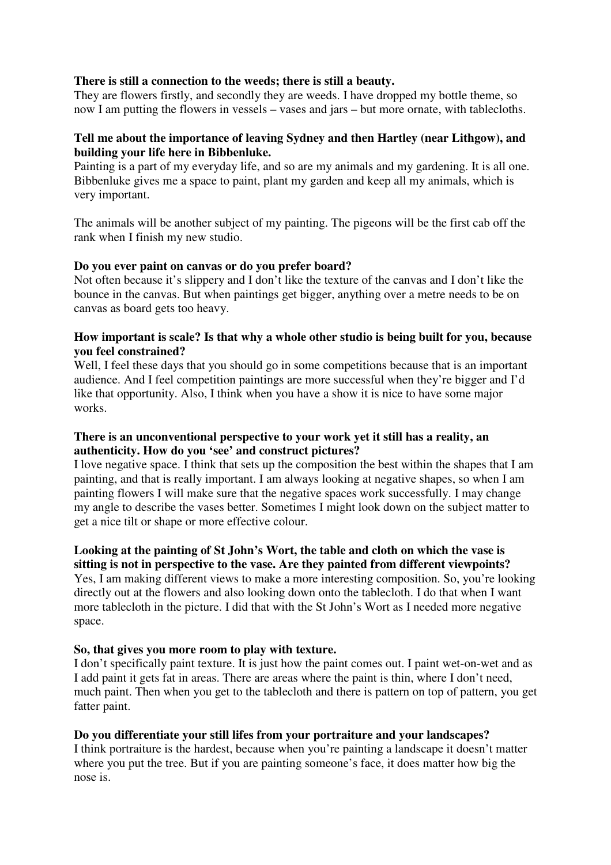#### **There is still a connection to the weeds; there is still a beauty.**

They are flowers firstly, and secondly they are weeds. I have dropped my bottle theme, so now I am putting the flowers in vessels – vases and jars – but more ornate, with tablecloths.

#### **Tell me about the importance of leaving Sydney and then Hartley (near Lithgow), and building your life here in Bibbenluke.**

Painting is a part of my everyday life, and so are my animals and my gardening. It is all one. Bibbenluke gives me a space to paint, plant my garden and keep all my animals, which is very important.

The animals will be another subject of my painting. The pigeons will be the first cab off the rank when I finish my new studio.

#### **Do you ever paint on canvas or do you prefer board?**

Not often because it's slippery and I don't like the texture of the canvas and I don't like the bounce in the canvas. But when paintings get bigger, anything over a metre needs to be on canvas as board gets too heavy.

#### **How important is scale? Is that why a whole other studio is being built for you, because you feel constrained?**

Well, I feel these days that you should go in some competitions because that is an important audience. And I feel competition paintings are more successful when they're bigger and I'd like that opportunity. Also, I think when you have a show it is nice to have some major works.

#### **There is an unconventional perspective to your work yet it still has a reality, an authenticity. How do you 'see' and construct pictures?**

I love negative space. I think that sets up the composition the best within the shapes that I am painting, and that is really important. I am always looking at negative shapes, so when I am painting flowers I will make sure that the negative spaces work successfully. I may change my angle to describe the vases better. Sometimes I might look down on the subject matter to get a nice tilt or shape or more effective colour.

#### **Looking at the painting of St John's Wort, the table and cloth on which the vase is sitting is not in perspective to the vase. Are they painted from different viewpoints?**

Yes, I am making different views to make a more interesting composition. So, you're looking directly out at the flowers and also looking down onto the tablecloth. I do that when I want more tablecloth in the picture. I did that with the St John's Wort as I needed more negative space.

#### **So, that gives you more room to play with texture.**

I don't specifically paint texture. It is just how the paint comes out. I paint wet-on-wet and as I add paint it gets fat in areas. There are areas where the paint is thin, where I don't need, much paint. Then when you get to the tablecloth and there is pattern on top of pattern, you get fatter paint.

## **Do you differentiate your still lifes from your portraiture and your landscapes?**

I think portraiture is the hardest, because when you're painting a landscape it doesn't matter where you put the tree. But if you are painting someone's face, it does matter how big the nose is.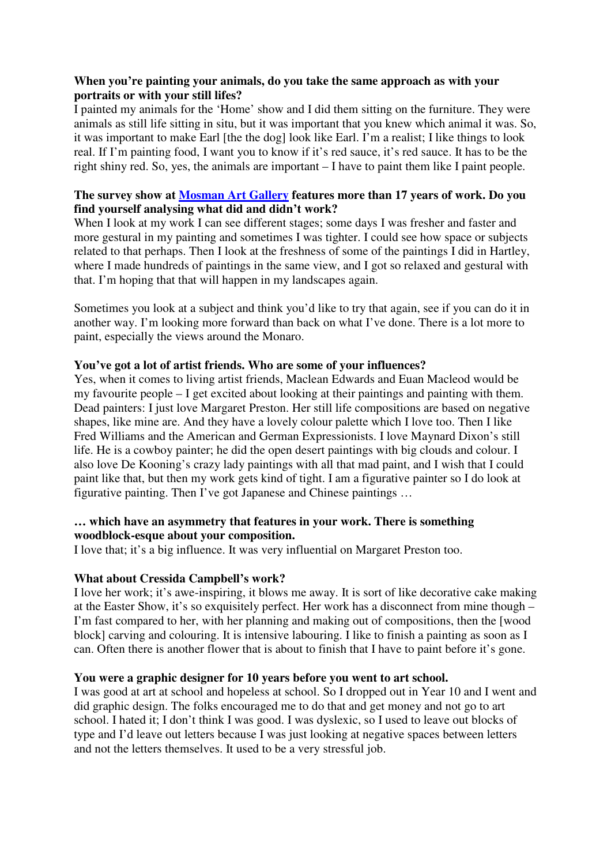#### **When you're painting your animals, do you take the same approach as with your portraits or with your still lifes?**

I painted my animals for the 'Home' show and I did them sitting on the furniture. They were animals as still life sitting in situ, but it was important that you knew which animal it was. So, it was important to make Earl [the the dog] look like Earl. I'm a realist; I like things to look real. If I'm painting food, I want you to know if it's red sauce, it's red sauce. It has to be the right shiny red. So, yes, the animals are important – I have to paint them like I paint people.

#### **The survey show at Mosman Art Gallery features more than 17 years of work. Do you find yourself analysing what did and didn't work?**

When I look at my work I can see different stages; some days I was fresher and faster and more gestural in my painting and sometimes I was tighter. I could see how space or subjects related to that perhaps. Then I look at the freshness of some of the paintings I did in Hartley, where I made hundreds of paintings in the same view, and I got so relaxed and gestural with that. I'm hoping that that will happen in my landscapes again.

Sometimes you look at a subject and think you'd like to try that again, see if you can do it in another way. I'm looking more forward than back on what I've done. There is a lot more to paint, especially the views around the Monaro.

#### **You've got a lot of artist friends. Who are some of your influences?**

Yes, when it comes to living artist friends, Maclean Edwards and Euan Macleod would be my favourite people – I get excited about looking at their paintings and painting with them. Dead painters: I just love Margaret Preston. Her still life compositions are based on negative shapes, like mine are. And they have a lovely colour palette which I love too. Then I like Fred Williams and the American and German Expressionists. I love Maynard Dixon's still life. He is a cowboy painter; he did the open desert paintings with big clouds and colour. I also love De Kooning's crazy lady paintings with all that mad paint, and I wish that I could paint like that, but then my work gets kind of tight. I am a figurative painter so I do look at figurative painting. Then I've got Japanese and Chinese paintings …

## **… which have an asymmetry that features in your work. There is something woodblock-esque about your composition.**

I love that; it's a big influence. It was very influential on Margaret Preston too.

#### **What about Cressida Campbell's work?**

I love her work; it's awe-inspiring, it blows me away. It is sort of like decorative cake making at the Easter Show, it's so exquisitely perfect. Her work has a disconnect from mine though – I'm fast compared to her, with her planning and making out of compositions, then the [wood block] carving and colouring. It is intensive labouring. I like to finish a painting as soon as I can. Often there is another flower that is about to finish that I have to paint before it's gone.

#### **You were a graphic designer for 10 years before you went to art school.**

I was good at art at school and hopeless at school. So I dropped out in Year 10 and I went and did graphic design. The folks encouraged me to do that and get money and not go to art school. I hated it; I don't think I was good. I was dyslexic, so I used to leave out blocks of type and I'd leave out letters because I was just looking at negative spaces between letters and not the letters themselves. It used to be a very stressful job.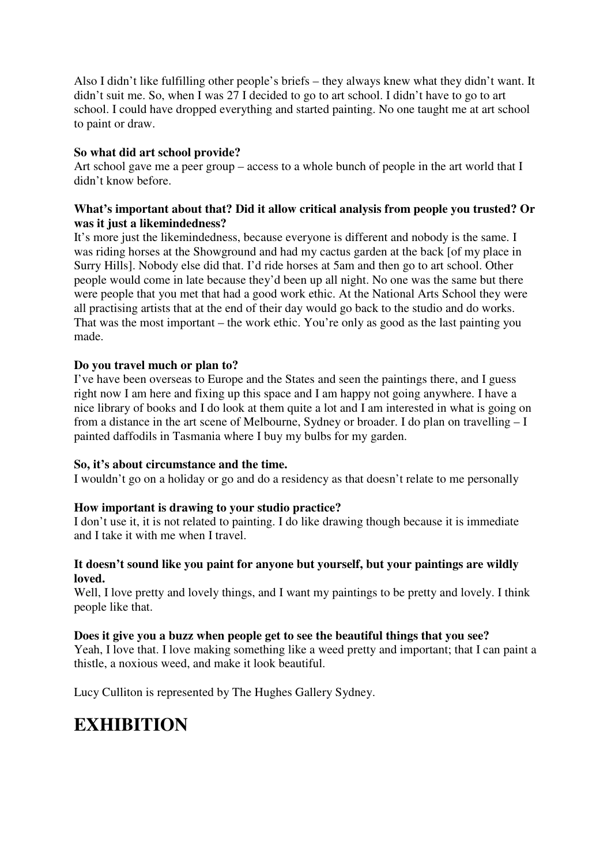Also I didn't like fulfilling other people's briefs – they always knew what they didn't want. It didn't suit me. So, when I was 27 I decided to go to art school. I didn't have to go to art school. I could have dropped everything and started painting. No one taught me at art school to paint or draw.

# **So what did art school provide?**

Art school gave me a peer group – access to a whole bunch of people in the art world that I didn't know before.

#### **What's important about that? Did it allow critical analysis from people you trusted? Or was it just a likemindedness?**

It's more just the likemindedness, because everyone is different and nobody is the same. I was riding horses at the Showground and had my cactus garden at the back [of my place in Surry Hills]. Nobody else did that. I'd ride horses at 5am and then go to art school. Other people would come in late because they'd been up all night. No one was the same but there were people that you met that had a good work ethic. At the National Arts School they were all practising artists that at the end of their day would go back to the studio and do works. That was the most important – the work ethic. You're only as good as the last painting you made.

## **Do you travel much or plan to?**

I've have been overseas to Europe and the States and seen the paintings there, and I guess right now I am here and fixing up this space and I am happy not going anywhere. I have a nice library of books and I do look at them quite a lot and I am interested in what is going on from a distance in the art scene of Melbourne, Sydney or broader. I do plan on travelling – I painted daffodils in Tasmania where I buy my bulbs for my garden.

## **So, it's about circumstance and the time.**

I wouldn't go on a holiday or go and do a residency as that doesn't relate to me personally

## **How important is drawing to your studio practice?**

I don't use it, it is not related to painting. I do like drawing though because it is immediate and I take it with me when I travel.

#### **It doesn't sound like you paint for anyone but yourself, but your paintings are wildly loved.**

Well, I love pretty and lovely things, and I want my paintings to be pretty and lovely. I think people like that.

## **Does it give you a buzz when people get to see the beautiful things that you see?**

Yeah, I love that. I love making something like a weed pretty and important; that I can paint a thistle, a noxious weed, and make it look beautiful.

Lucy Culliton is represented by The Hughes Gallery Sydney.

# **EXHIBITION**